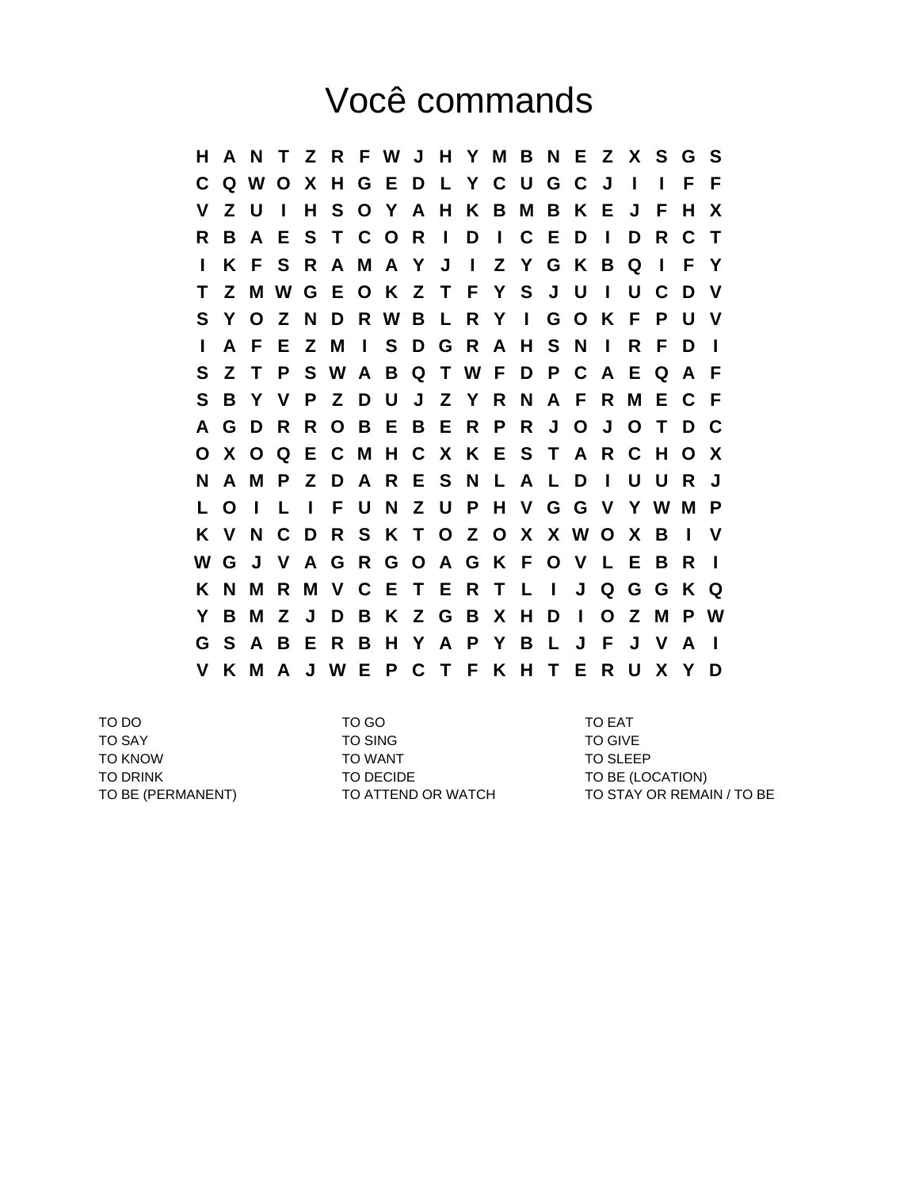## Você commands

**H A N T Z R F W J H Y M B N E Z X S G S C Q W O X H G E D L Y C U G C J I I F F V Z U I H S O Y A H K B M B K E J F H X R B A E S T C O R I D I C E D I D R C T I K F S R A M A Y J I Z Y G K B Q I F Y T Z M W G E O K Z T F Y S J U I U C D V S Y O Z N D R W B L R Y I G O K F P U V I A F E Z M I S D G R A H S N I R F D I S Z T P S W A B Q T W F D P C A E Q A F S B Y V P Z D U J Z Y R N A F R M E C F A G D R R O B E B E R P R J O J O T D C O X O Q E C M H C X K E S T A R C H O X N A M P Z D A R E S N L A L D I U U R J L O I L I F U N Z U P H V G G V Y W M P K V N C D R S K T O Z O X X W O X B I V W G J V A G R G O A G K F O V L E B R I K N M R M V C E T E R T L I J Q G G K Q Y B M Z J D B K Z G B X H D I O Z M P W G S A B E R B H Y A P Y B L J F J V A I V K M A J W E P C T F K H T E R U X Y D**

TO DO TO GO TO EAT TO SAY TO SING TO GIVE TO KNOW TO WANT TO WANT TO SLEEP TO DRINK TO DECIDE TO DECIDE TO BE (LOCATION)

TO BE (PERMANENT) TO ATTEND OR WATCH TO STAY OR REMAIN / TO BE